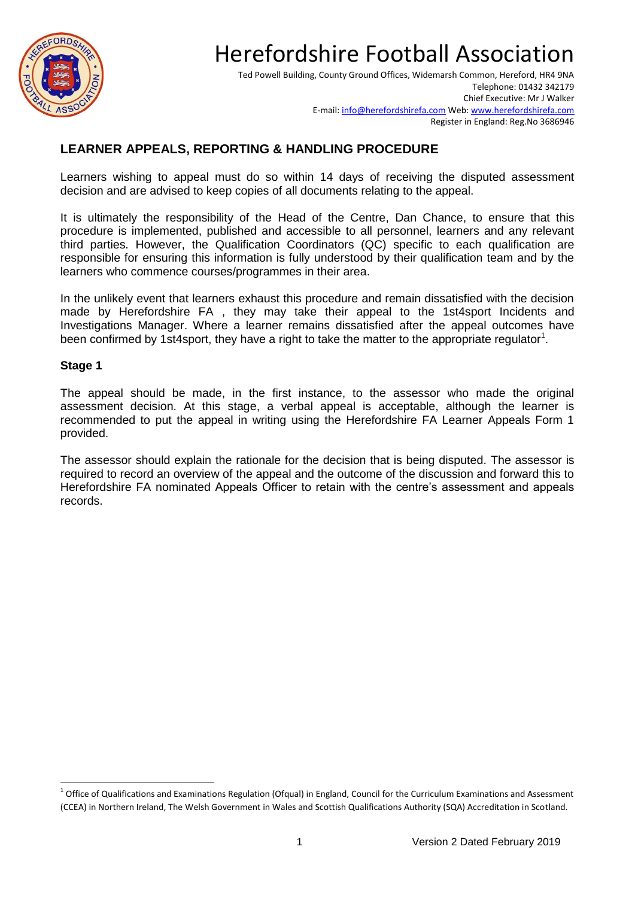

Ted Powell Building, County Ground Offices, Widemarsh Common, Hereford, HR4 9NA Telephone: 01432 342179 Chief Executive: Mr J Walker E-mail[: info@herefordshirefa.com](mailto:info@herefordshirefa.com) Web: [www.herefordshirefa.com](http://www.herefordshirefa.com/) Register in England: Reg.No 3686946

### **LEARNER APPEALS, REPORTING & HANDLING PROCEDURE**

Learners wishing to appeal must do so within 14 days of receiving the disputed assessment decision and are advised to keep copies of all documents relating to the appeal.

It is ultimately the responsibility of the Head of the Centre, Dan Chance, to ensure that this procedure is implemented, published and accessible to all personnel, learners and any relevant third parties. However, the Qualification Coordinators (QC) specific to each qualification are responsible for ensuring this information is fully understood by their qualification team and by the learners who commence courses/programmes in their area.

In the unlikely event that learners exhaust this procedure and remain dissatisfied with the decision made by Herefordshire FA , they may take their appeal to the 1st4sport Incidents and Investigations Manager. Where a learner remains dissatisfied after the appeal outcomes have been confirmed by 1st4sport, they have a right to take the matter to the appropriate regulator<sup>1</sup>.

#### **Stage 1**

**.** 

The appeal should be made, in the first instance, to the assessor who made the original assessment decision. At this stage, a verbal appeal is acceptable, although the learner is recommended to put the appeal in writing using the Herefordshire FA Learner Appeals Form 1 provided.

The assessor should explain the rationale for the decision that is being disputed. The assessor is required to record an overview of the appeal and the outcome of the discussion and forward this to Herefordshire FA nominated Appeals Officer to retain with the centre's assessment and appeals records.

 $^1$  Office of Qualifications and Examinations Regulation (Ofqual) in England, Council for the Curriculum Examinations and Assessment (CCEA) in Northern Ireland, The Welsh Government in Wales and Scottish Qualifications Authority (SQA) Accreditation in Scotland.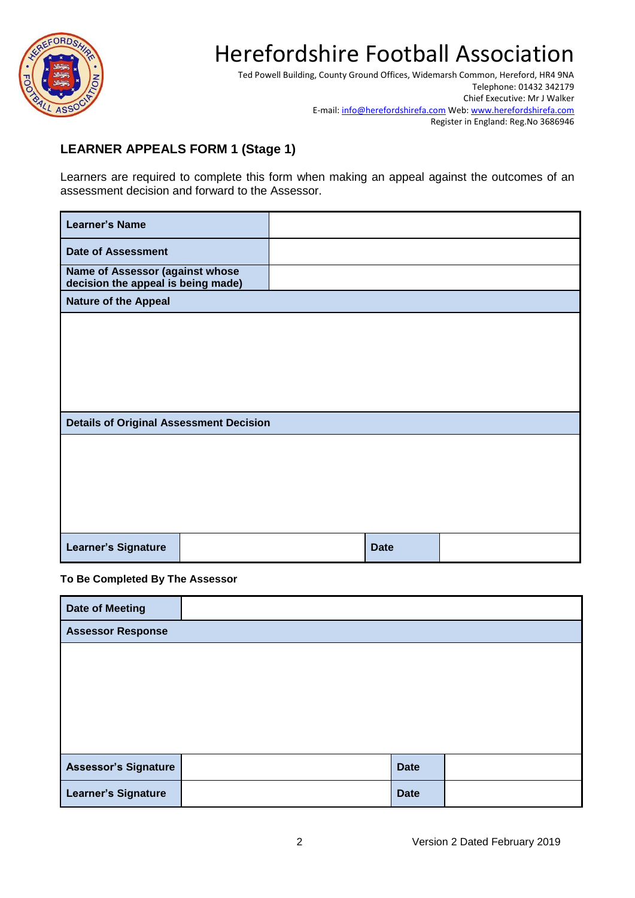

Ted Powell Building, County Ground Offices, Widemarsh Common, Hereford, HR4 9NA Telephone: 01432 342179 Chief Executive: Mr J Walker E-mail[: info@herefordshirefa.com](mailto:info@herefordshirefa.com) Web: [www.herefordshirefa.com](http://www.herefordshirefa.com/) Register in England: Reg.No 3686946

### **LEARNER APPEALS FORM 1 (Stage 1)**

Learners are required to complete this form when making an appeal against the outcomes of an assessment decision and forward to the Assessor.

| <b>Learner's Name</b>                                                 |  |             |  |
|-----------------------------------------------------------------------|--|-------------|--|
| <b>Date of Assessment</b>                                             |  |             |  |
| Name of Assessor (against whose<br>decision the appeal is being made) |  |             |  |
| <b>Nature of the Appeal</b>                                           |  |             |  |
|                                                                       |  |             |  |
|                                                                       |  |             |  |
|                                                                       |  |             |  |
|                                                                       |  |             |  |
|                                                                       |  |             |  |
| <b>Details of Original Assessment Decision</b>                        |  |             |  |
|                                                                       |  |             |  |
|                                                                       |  |             |  |
|                                                                       |  |             |  |
|                                                                       |  |             |  |
|                                                                       |  |             |  |
| <b>Learner's Signature</b>                                            |  | <b>Date</b> |  |

#### **To Be Completed By The Assessor**

| <b>Date of Meeting</b>      |             |  |
|-----------------------------|-------------|--|
| <b>Assessor Response</b>    |             |  |
|                             |             |  |
|                             |             |  |
|                             |             |  |
|                             |             |  |
|                             |             |  |
| <b>Assessor's Signature</b> | <b>Date</b> |  |
| <b>Learner's Signature</b>  | <b>Date</b> |  |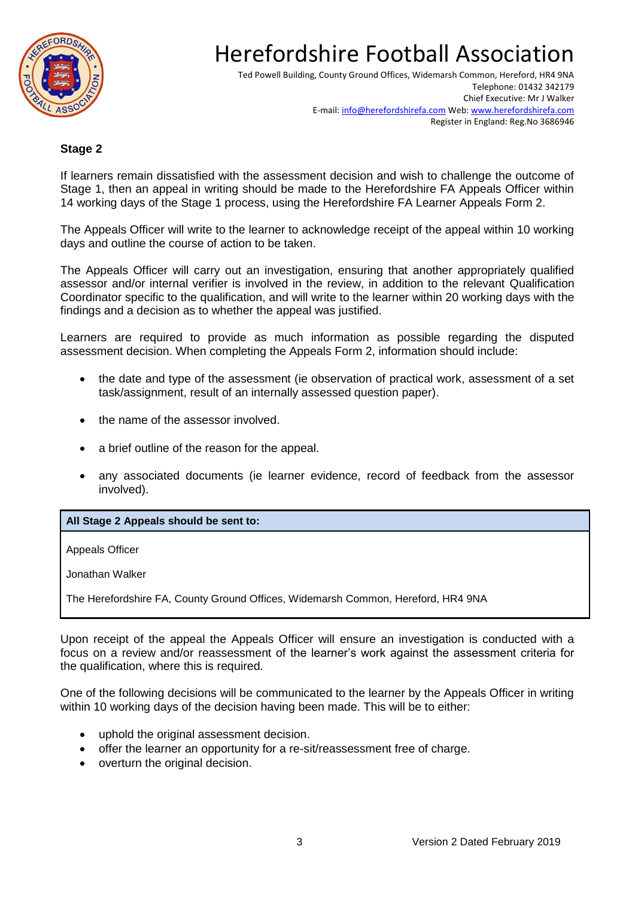

Ted Powell Building, County Ground Offices, Widemarsh Common, Hereford, HR4 9NA Telephone: 01432 342179 Chief Executive: Mr J Walker E-mail[: info@herefordshirefa.com](mailto:info@herefordshirefa.com) Web: [www.herefordshirefa.com](http://www.herefordshirefa.com/) Register in England: Reg.No 3686946

#### **Stage 2**

If learners remain dissatisfied with the assessment decision and wish to challenge the outcome of Stage 1, then an appeal in writing should be made to the Herefordshire FA Appeals Officer within 14 working days of the Stage 1 process, using the Herefordshire FA Learner Appeals Form 2.

The Appeals Officer will write to the learner to acknowledge receipt of the appeal within 10 working days and outline the course of action to be taken.

The Appeals Officer will carry out an investigation, ensuring that another appropriately qualified assessor and/or internal verifier is involved in the review, in addition to the relevant Qualification Coordinator specific to the qualification, and will write to the learner within 20 working days with the findings and a decision as to whether the appeal was justified.

Learners are required to provide as much information as possible regarding the disputed assessment decision. When completing the Appeals Form 2, information should include:

- the date and type of the assessment (ie observation of practical work, assessment of a set task/assignment, result of an internally assessed question paper).
- the name of the assessor involved.
- a brief outline of the reason for the appeal.
- any associated documents (ie learner evidence, record of feedback from the assessor involved).

#### **All Stage 2 Appeals should be sent to:**

Appeals Officer

Jonathan Walker

The Herefordshire FA, County Ground Offices, Widemarsh Common, Hereford, HR4 9NA

Upon receipt of the appeal the Appeals Officer will ensure an investigation is conducted with a focus on a review and/or reassessment of the learner's work against the assessment criteria for the qualification, where this is required.

One of the following decisions will be communicated to the learner by the Appeals Officer in writing within 10 working days of the decision having been made. This will be to either:

- uphold the original assessment decision.
- offer the learner an opportunity for a re-sit/reassessment free of charge.
- overturn the original decision.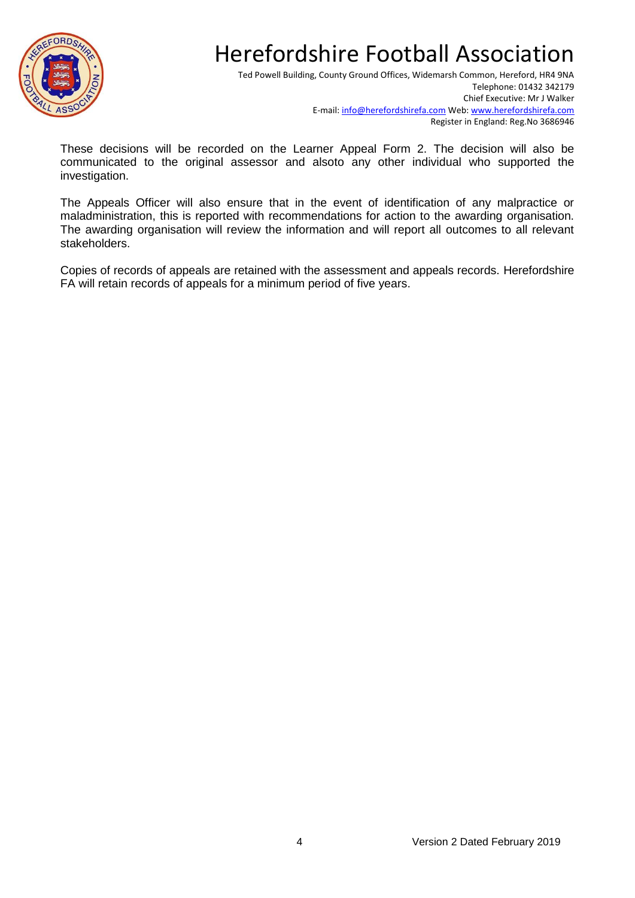

Ted Powell Building, County Ground Offices, Widemarsh Common, Hereford, HR4 9NA Telephone: 01432 342179 Chief Executive: Mr J Walker E-mail[: info@herefordshirefa.com](mailto:info@herefordshirefa.com) Web: [www.herefordshirefa.com](http://www.herefordshirefa.com/) Register in England: Reg.No 3686946

These decisions will be recorded on the Learner Appeal Form 2. The decision will also be communicated to the original assessor and alsoto any other individual who supported the investigation.

The Appeals Officer will also ensure that in the event of identification of any malpractice or maladministration, this is reported with recommendations for action to the awarding organisation. The awarding organisation will review the information and will report all outcomes to all relevant stakeholders.

Copies of records of appeals are retained with the assessment and appeals records. Herefordshire FA will retain records of appeals for a minimum period of five years.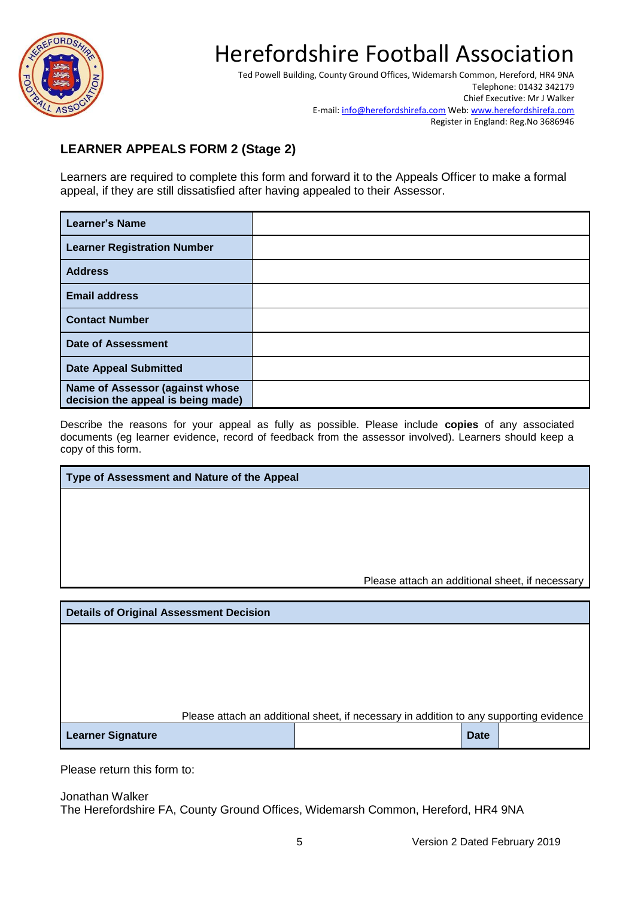

Ted Powell Building, County Ground Offices, Widemarsh Common, Hereford, HR4 9NA Telephone: 01432 342179 Chief Executive: Mr J Walker E-mail[: info@herefordshirefa.com](mailto:info@herefordshirefa.com) Web: [www.herefordshirefa.com](http://www.herefordshirefa.com/) Register in England: Reg.No 3686946

### **LEARNER APPEALS FORM 2 (Stage 2)**

Learners are required to complete this form and forward it to the Appeals Officer to make a formal appeal, if they are still dissatisfied after having appealed to their Assessor.

| <b>Learner's Name</b>                                                 |  |
|-----------------------------------------------------------------------|--|
| <b>Learner Registration Number</b>                                    |  |
| <b>Address</b>                                                        |  |
| <b>Email address</b>                                                  |  |
| <b>Contact Number</b>                                                 |  |
| Date of Assessment                                                    |  |
| <b>Date Appeal Submitted</b>                                          |  |
| Name of Assessor (against whose<br>decision the appeal is being made) |  |

Describe the reasons for your appeal as fully as possible. Please include **copies** of any associated documents (eg learner evidence, record of feedback from the assessor involved). Learners should keep a copy of this form.

| Type of Assessment and Nature of the Appeal    |                                                 |
|------------------------------------------------|-------------------------------------------------|
|                                                |                                                 |
|                                                |                                                 |
|                                                |                                                 |
|                                                |                                                 |
|                                                |                                                 |
|                                                | Please attach an additional sheet, if necessary |
|                                                |                                                 |
| <b>Details of Original Assessment Decision</b> |                                                 |
|                                                |                                                 |

Please attach an additional sheet, if necessary in addition to any supporting evidence

| <b>Learner Signature</b> | <b>Date</b> |  |
|--------------------------|-------------|--|
|--------------------------|-------------|--|

Please return this form to:

Jonathan Walker The Herefordshire FA, County Ground Offices, Widemarsh Common, Hereford, HR4 9NA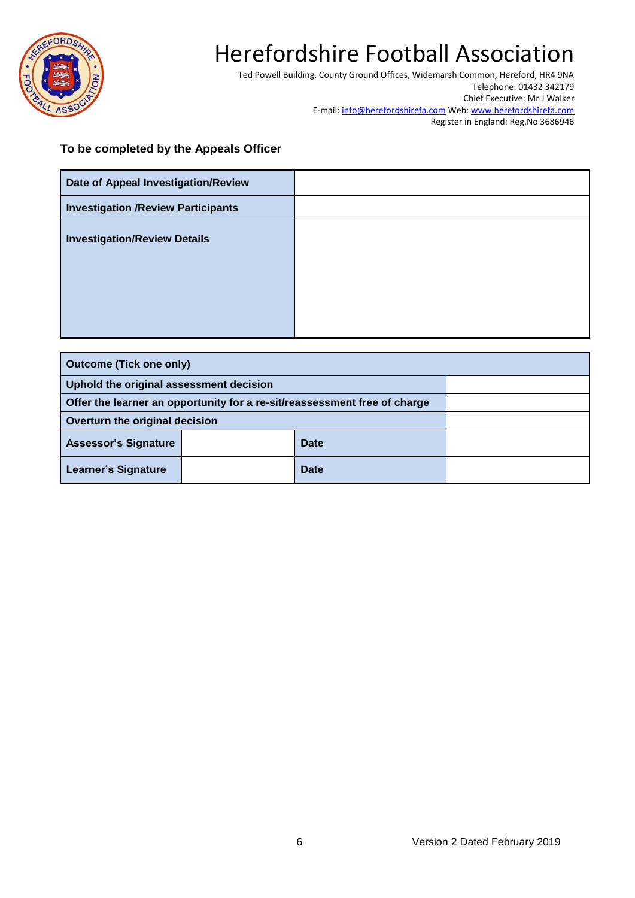

Ted Powell Building, County Ground Offices, Widemarsh Common, Hereford, HR4 9NA Telephone: 01432 342179 Chief Executive: Mr J Walker E-mail[: info@herefordshirefa.com](mailto:info@herefordshirefa.com) Web: [www.herefordshirefa.com](http://www.herefordshirefa.com/) Register in England: Reg.No 3686946

#### **To be completed by the Appeals Officer**

| Date of Appeal Investigation/Review        |  |
|--------------------------------------------|--|
| <b>Investigation / Review Participants</b> |  |
| <b>Investigation/Review Details</b>        |  |
|                                            |  |
|                                            |  |
|                                            |  |

| <b>Outcome (Tick one only)</b>                                            |  |             |  |
|---------------------------------------------------------------------------|--|-------------|--|
| Uphold the original assessment decision                                   |  |             |  |
| Offer the learner an opportunity for a re-sit/reassessment free of charge |  |             |  |
| Overturn the original decision                                            |  |             |  |
| <b>Assessor's Signature</b>                                               |  | <b>Date</b> |  |
| <b>Learner's Signature</b>                                                |  | <b>Date</b> |  |